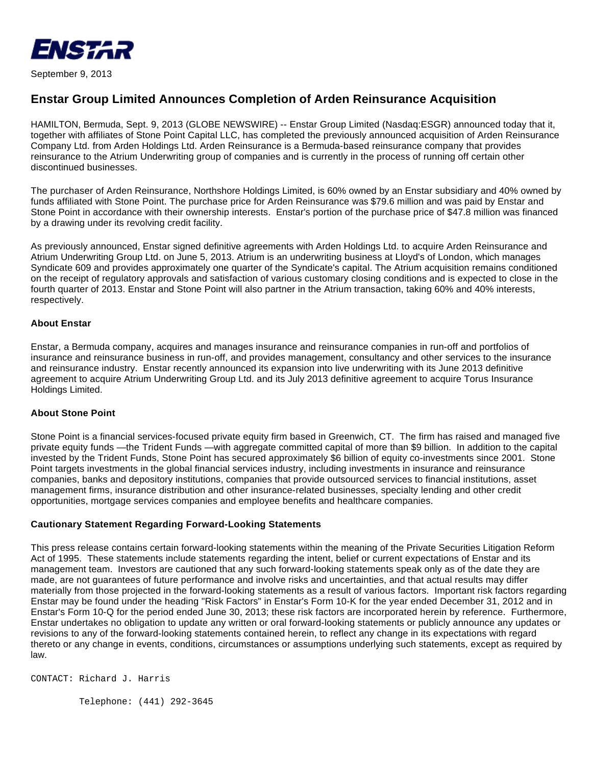

September 9, 2013

## **Enstar Group Limited Announces Completion of Arden Reinsurance Acquisition**

HAMILTON, Bermuda, Sept. 9, 2013 (GLOBE NEWSWIRE) -- Enstar Group Limited (Nasdaq:ESGR) announced today that it, together with affiliates of Stone Point Capital LLC, has completed the previously announced acquisition of Arden Reinsurance Company Ltd. from Arden Holdings Ltd. Arden Reinsurance is a Bermuda-based reinsurance company that provides reinsurance to the Atrium Underwriting group of companies and is currently in the process of running off certain other discontinued businesses.

The purchaser of Arden Reinsurance, Northshore Holdings Limited, is 60% owned by an Enstar subsidiary and 40% owned by funds affiliated with Stone Point. The purchase price for Arden Reinsurance was \$79.6 million and was paid by Enstar and Stone Point in accordance with their ownership interests. Enstar's portion of the purchase price of \$47.8 million was financed by a drawing under its revolving credit facility.

As previously announced, Enstar signed definitive agreements with Arden Holdings Ltd. to acquire Arden Reinsurance and Atrium Underwriting Group Ltd. on June 5, 2013. Atrium is an underwriting business at Lloyd's of London, which manages Syndicate 609 and provides approximately one quarter of the Syndicate's capital. The Atrium acquisition remains conditioned on the receipt of regulatory approvals and satisfaction of various customary closing conditions and is expected to close in the fourth quarter of 2013. Enstar and Stone Point will also partner in the Atrium transaction, taking 60% and 40% interests, respectively.

## **About Enstar**

Enstar, a Bermuda company, acquires and manages insurance and reinsurance companies in run-off and portfolios of insurance and reinsurance business in run-off, and provides management, consultancy and other services to the insurance and reinsurance industry. Enstar recently announced its expansion into live underwriting with its June 2013 definitive agreement to acquire Atrium Underwriting Group Ltd. and its July 2013 definitive agreement to acquire Torus Insurance Holdings Limited.

## **About Stone Point**

Stone Point is a financial services-focused private equity firm based in Greenwich, CT. The firm has raised and managed five private equity funds —the Trident Funds —with aggregate committed capital of more than \$9 billion. In addition to the capital invested by the Trident Funds, Stone Point has secured approximately \$6 billion of equity co-investments since 2001. Stone Point targets investments in the global financial services industry, including investments in insurance and reinsurance companies, banks and depository institutions, companies that provide outsourced services to financial institutions, asset management firms, insurance distribution and other insurance-related businesses, specialty lending and other credit opportunities, mortgage services companies and employee benefits and healthcare companies.

## **Cautionary Statement Regarding Forward-Looking Statements**

This press release contains certain forward-looking statements within the meaning of the Private Securities Litigation Reform Act of 1995. These statements include statements regarding the intent, belief or current expectations of Enstar and its management team. Investors are cautioned that any such forward-looking statements speak only as of the date they are made, are not guarantees of future performance and involve risks and uncertainties, and that actual results may differ materially from those projected in the forward-looking statements as a result of various factors. Important risk factors regarding Enstar may be found under the heading "Risk Factors" in Enstar's Form 10-K for the year ended December 31, 2012 and in Enstar's Form 10-Q for the period ended June 30, 2013; these risk factors are incorporated herein by reference. Furthermore, Enstar undertakes no obligation to update any written or oral forward-looking statements or publicly announce any updates or revisions to any of the forward-looking statements contained herein, to reflect any change in its expectations with regard thereto or any change in events, conditions, circumstances or assumptions underlying such statements, except as required by law.

CONTACT: Richard J. Harris

Telephone: (441) 292-3645